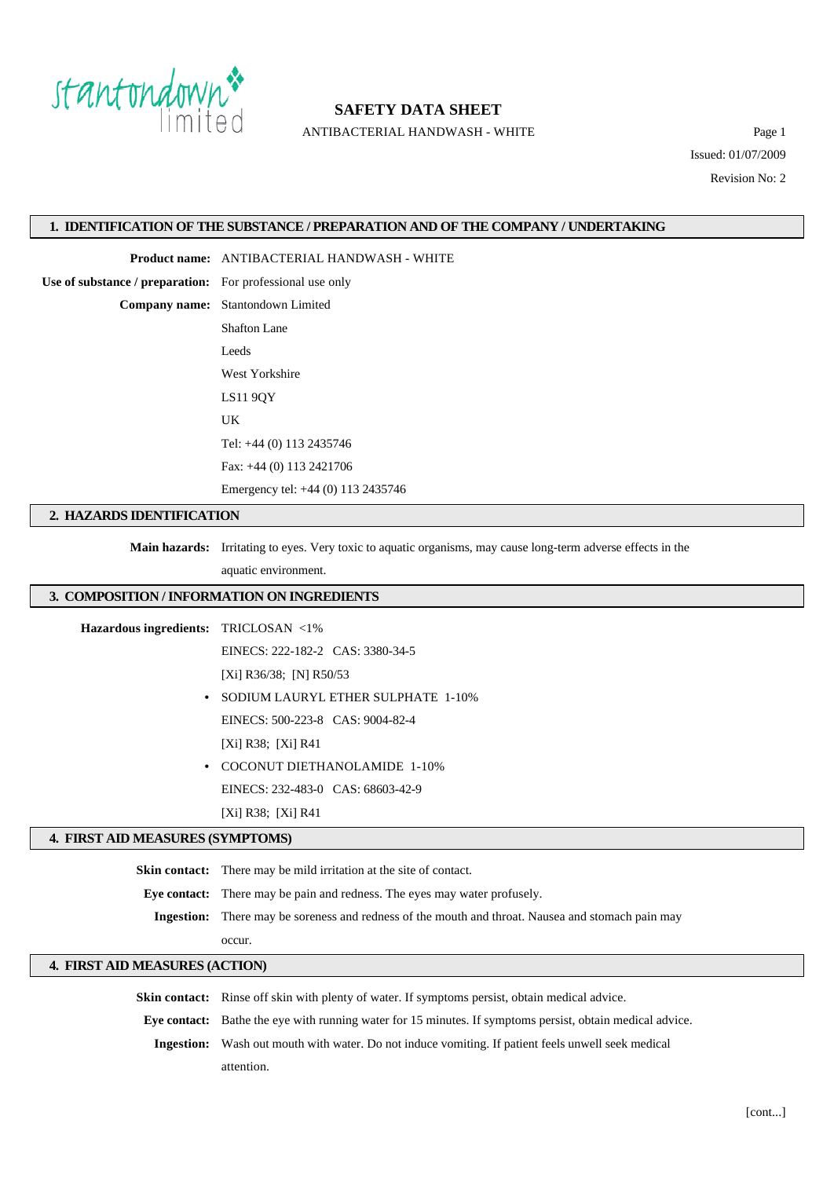

ANTIBACTERIAL HANDWASH - WHITE Page 1

Issued: 01/07/2009 Revision No: 2

#### **1. IDENTIFICATION OF THE SUBSTANCE / PREPARATION AND OF THE COMPANY / UNDERTAKING**

**Product name:** ANTIBACTERIAL HANDWASH - WHITE

**Use of substance / preparation:** For professional use only

**Company name:** Stantondown Limited Shafton Lane Leeds West Yorkshire LS11 9QY UK Tel: +44 (0) 113 2435746 Fax: +44 (0) 113 2421706 Emergency tel: +44 (0) 113 2435746

### **2. HAZARDS IDENTIFICATION**

**Main hazards:** Irritating to eyes. Very toxic to aquatic organisms, may cause long-term adverse effects in the

aquatic environment.

### **3. COMPOSITION / INFORMATION ON INGREDIENTS**

**Hazardous ingredients:** TRICLOSAN <1%

EINECS: 222-182-2 CAS: 3380-34-5

[Xi] R36/38; [N] R50/53

- **•** SODIUM LAURYL ETHER SULPHATE 1-10% EINECS: 500-223-8 CAS: 9004-82-4 [Xi] R38; [Xi] R41
- **•** COCONUT DIETHANOLAMIDE 1-10% EINECS: 232-483-0 CAS: 68603-42-9

[Xi] R38; [Xi] R41

### **4. FIRST AID MEASURES (SYMPTOMS)**

**Skin contact:** There may be mild irritation at the site of contact.

**Eye contact:** There may be pain and redness. The eyes may water profusely.

**Ingestion:** There may be soreness and redness of the mouth and throat. Nausea and stomach pain may

occur.

### **4. FIRST AID MEASURES (ACTION)**

**Skin contact:** Rinse off skin with plenty of water. If symptoms persist, obtain medical advice. **Eye contact:** Bathe the eye with running water for 15 minutes. If symptoms persist, obtain medical advice.

**Ingestion:** Wash out mouth with water. Do not induce vomiting. If patient feels unwell seek medical attention.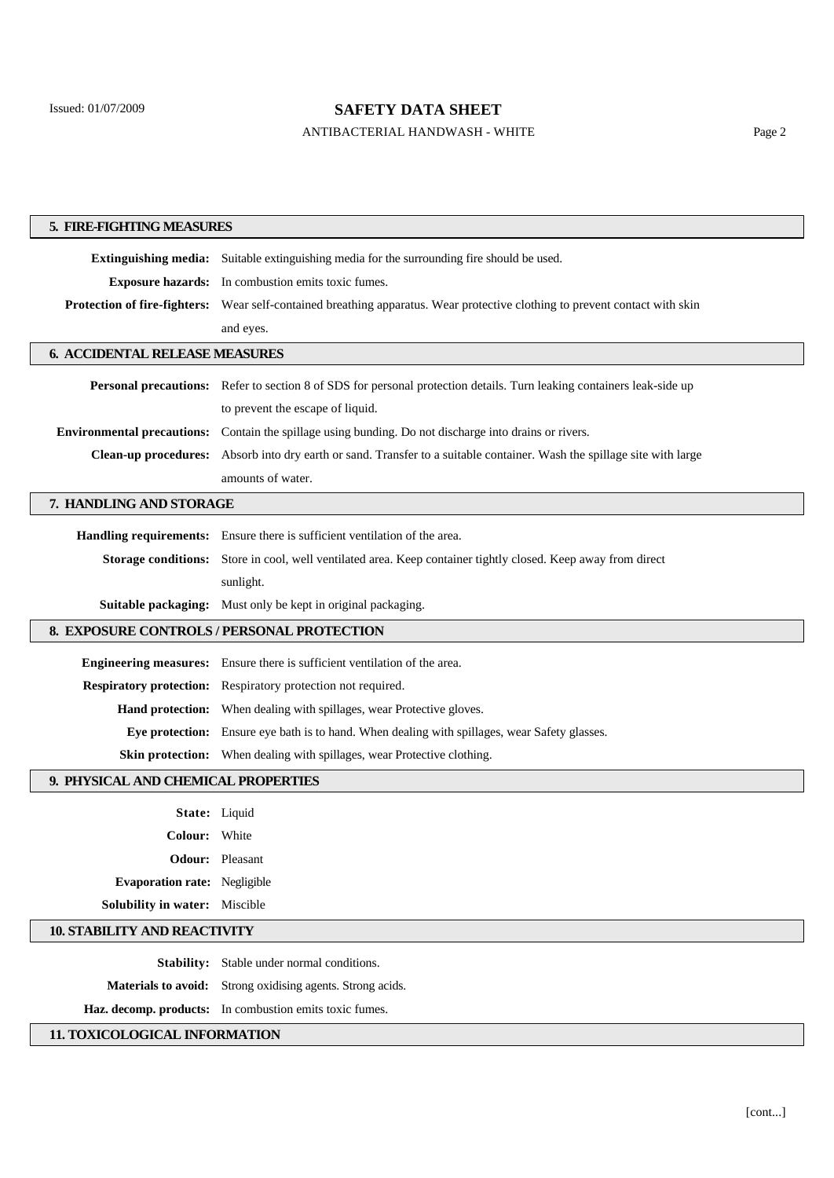## ANTIBACTERIAL HANDWASH - WHITE Page 2

| 5. FIRE-FIGHTING MEASURES                               |                                                                                                                             |  |
|---------------------------------------------------------|-----------------------------------------------------------------------------------------------------------------------------|--|
|                                                         | <b>Extinguishing media:</b> Suitable extinguishing media for the surrounding fire should be used.                           |  |
|                                                         | <b>Exposure hazards:</b> In combustion emits toxic fumes.                                                                   |  |
|                                                         | Protection of fire-fighters: Wear self-contained breathing apparatus. Wear protective clothing to prevent contact with skin |  |
|                                                         | and eyes.                                                                                                                   |  |
| <b>6. ACCIDENTAL RELEASE MEASURES</b>                   |                                                                                                                             |  |
|                                                         | Personal precautions: Refer to section 8 of SDS for personal protection details. Turn leaking containers leak-side up       |  |
|                                                         | to prevent the escape of liquid.                                                                                            |  |
|                                                         | <b>Environmental precautions:</b> Contain the spillage using bunding. Do not discharge into drains or rivers.               |  |
|                                                         | Clean-up procedures: Absorb into dry earth or sand. Transfer to a suitable container. Wash the spillage site with large     |  |
|                                                         | amounts of water.                                                                                                           |  |
|                                                         |                                                                                                                             |  |
| 7. HANDLING AND STORAGE                                 |                                                                                                                             |  |
|                                                         | Handling requirements: Ensure there is sufficient ventilation of the area.                                                  |  |
|                                                         | Storage conditions: Store in cool, well ventilated area. Keep container tightly closed. Keep away from direct               |  |
|                                                         | sunlight.                                                                                                                   |  |
|                                                         | Suitable packaging: Must only be kept in original packaging.                                                                |  |
|                                                         | 8. EXPOSURE CONTROLS / PERSONAL PROTECTION                                                                                  |  |
|                                                         | Engineering measures: Ensure there is sufficient ventilation of the area.                                                   |  |
|                                                         | Respiratory protection: Respiratory protection not required.                                                                |  |
|                                                         | Hand protection: When dealing with spillages, wear Protective gloves.                                                       |  |
|                                                         | Eye protection: Ensure eye bath is to hand. When dealing with spillages, wear Safety glasses.                               |  |
|                                                         | Skin protection: When dealing with spillages, wear Protective clothing.                                                     |  |
| 9. PHYSICAL AND CHEMICAL PROPERTIES                     |                                                                                                                             |  |
|                                                         | State: Liquid                                                                                                               |  |
| Colour: White                                           |                                                                                                                             |  |
|                                                         | <b>Odour:</b> Pleasant                                                                                                      |  |
| <b>Evaporation rate:</b> Negligible                     |                                                                                                                             |  |
| <b>Solubility in water:</b> Miscible                    |                                                                                                                             |  |
| <b>10. STABILITY AND REACTIVITY</b>                     |                                                                                                                             |  |
|                                                         | <b>Stability:</b> Stable under normal conditions.                                                                           |  |
|                                                         |                                                                                                                             |  |
|                                                         | Materials to avoid: Strong oxidising agents. Strong acids.                                                                  |  |
| Haz. decomp. products: In combustion emits toxic fumes. |                                                                                                                             |  |
| 11. TOXICOLOGICAL INFORMATION                           |                                                                                                                             |  |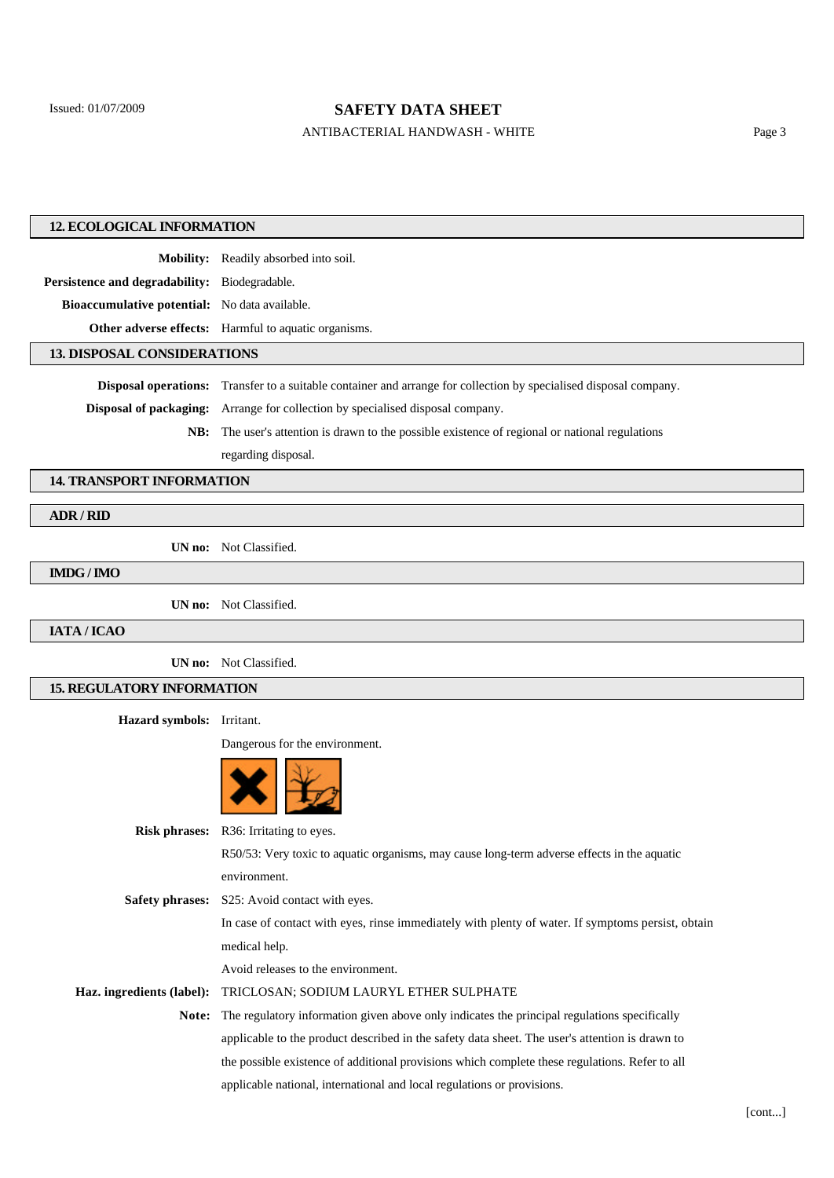## ANTIBACTERIAL HANDWASH - WHITE Page 3

| <b>12. ECOLOGICAL INFORMATION</b>             |                                                                                                                          |  |
|-----------------------------------------------|--------------------------------------------------------------------------------------------------------------------------|--|
|                                               | Mobility: Readily absorbed into soil.                                                                                    |  |
| Persistence and degradability: Biodegradable. |                                                                                                                          |  |
| Bioaccumulative potential: No data available. |                                                                                                                          |  |
|                                               | Other adverse effects: Harmful to aquatic organisms.                                                                     |  |
| <b>13. DISPOSAL CONSIDERATIONS</b>            |                                                                                                                          |  |
|                                               | <b>Disposal operations:</b> Transfer to a suitable container and arrange for collection by specialised disposal company. |  |
| <b>Disposal of packaging:</b>                 | Arrange for collection by specialised disposal company.                                                                  |  |
| NB:                                           | The user's attention is drawn to the possible existence of regional or national regulations                              |  |
|                                               | regarding disposal.                                                                                                      |  |
| <b>14. TRANSPORT INFORMATION</b>              |                                                                                                                          |  |
| ADR / RID                                     |                                                                                                                          |  |
|                                               |                                                                                                                          |  |
|                                               | UN no: Not Classified.                                                                                                   |  |
| IMDG / IMO                                    |                                                                                                                          |  |
|                                               | UN no: Not Classified.                                                                                                   |  |
| IATA / ICAO                                   |                                                                                                                          |  |
|                                               | UN no: Not Classified.                                                                                                   |  |
| <b>15. REGULATORY INFORMATION</b>             |                                                                                                                          |  |
| Hazard symbols: Irritant.                     |                                                                                                                          |  |
|                                               | Dangerous for the environment.                                                                                           |  |
|                                               |                                                                                                                          |  |
|                                               | Risk phrases: R36: Irritating to eyes.                                                                                   |  |
|                                               | R50/53: Very toxic to aquatic organisms, may cause long-term adverse effects in the aquatic                              |  |
|                                               | environment.                                                                                                             |  |
|                                               | Safety phrases: S25: Avoid contact with eyes.                                                                            |  |
|                                               | In case of contact with eyes, rinse immediately with plenty of water. If symptoms persist, obtain                        |  |
|                                               | medical help.                                                                                                            |  |
|                                               | Avoid releases to the environment.                                                                                       |  |
| Haz. ingredients (label):                     | TRICLOSAN; SODIUM LAURYL ETHER SULPHATE                                                                                  |  |
|                                               | Note: The regulatory information given above only indicates the principal regulations specifically                       |  |
|                                               | applicable to the product described in the safety data sheet. The user's attention is drawn to                           |  |
|                                               | the possible existence of additional provisions which complete these regulations. Refer to all                           |  |
|                                               | applicable national, international and local regulations or provisions.                                                  |  |